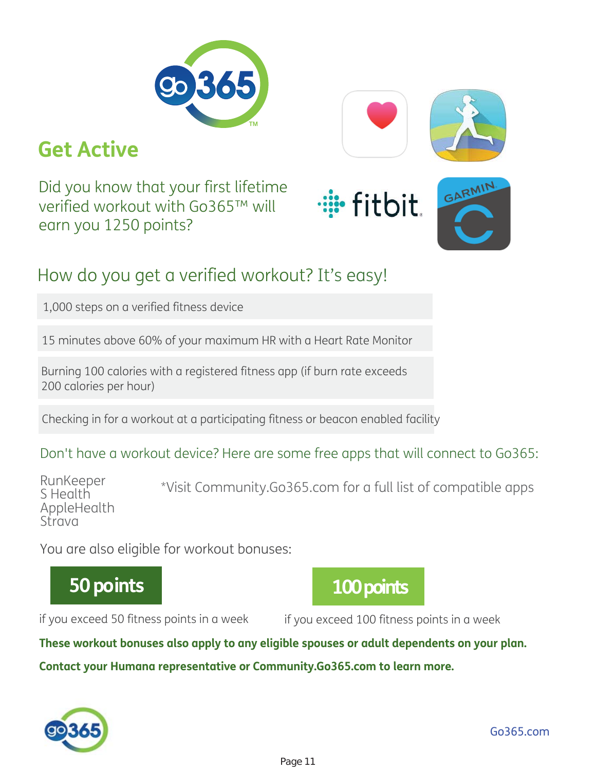

Checking in for a workout at a participating fitness or beacon enabled facility

How do you get a verified workout? It's easy!

Don't have a workout device? Here are some free apps that will connect to Go365:

RunKeeper \*Visit Community.Go365.com for a full list of compatible apps S Health AppleHealth Strava

You are also eligible for workout bonuses:

## 50 points

if you exceed 50 fitness points in a week if you exceed 100 fitness points in a week

These workout bonuses also apply to any eligible spouses or adult dependents on your plan.

Contact your Humana representative or Community.Go365.com to learn more.





Did you know that your first lifetime

verified workout with Go365™ will

earn you 1250 points?

200 calories per hour)









100 points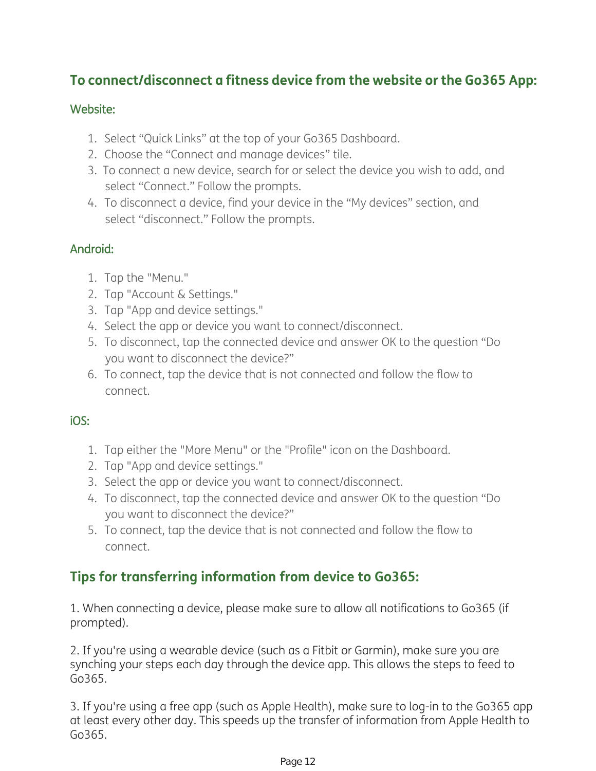#### To connect/disconnect a fitness device from the website or the Go365 App:

#### Website:

- 1. Select "Quick Links" at the top of your Go365 Dashboard.
- 2. Choose the "Connect and manage devices" tile.
- 3. To connect a new device, search for or select the device you wish to add, and select "Connect." Follow the prompts.
- 4. To disconnect a device, find your device in the "My devices" section, and select "disconnect." Follow the prompts.

#### Android:

- 1. Tap the "Menu."
- 2. Tap "Account & Settings."
- 3. Tap "App and device settings."
- 4. Select the app or device you want to connect/disconnect.
- 5. To disconnect, tap the connected device and answer OK to the question "Do you want to disconnect the device?"
- 6. To connect, tap the device that is not connected and follow the flow to connect.

#### iOS:

- 1. Tap either the "More Menu" or the "Profile" icon on the Dashboard.
- 2. Tap "App and device settings."
- 3. Select the app or device you want to connect/disconnect.
- 4. To disconnect, tap the connected device and answer OK to the question "Do you want to disconnect the device?"
- 5. To connect, tap the device that is not connected and follow the flow to connect.

#### Tips for transferring information from device to Go365:

1. When connecting a device, please make sure to allow all notifications to Go365 (if prompted).

2. If you're using a wearable device (such as a Fitbit or Garmin), make sure you are synching your steps each day through the device app. This allows the steps to feed to  $G<sub>0</sub>365.$ 

3. If you're using a free app (such as Apple Health), make sure to log-in to the Go365 app at least every other day. This speeds up the transfer of information from Apple Health to Go365.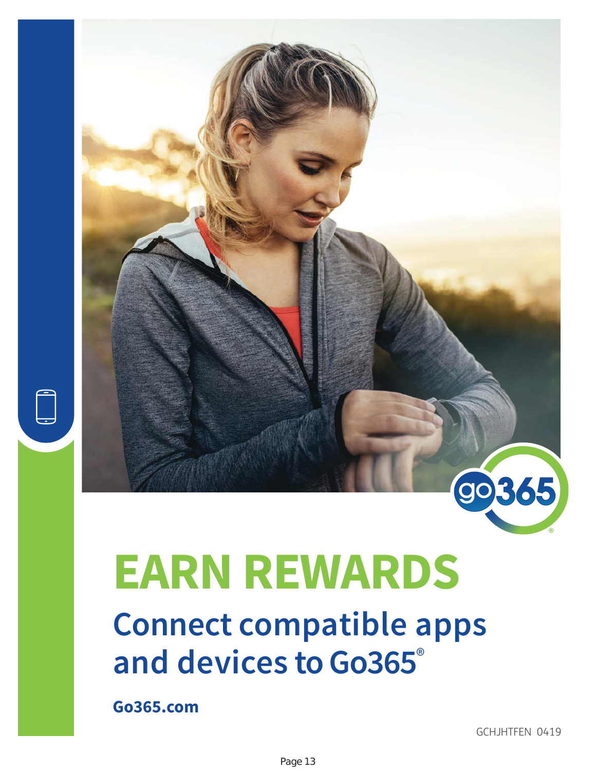

# **EARN REWARDS**

**Connect compatible apps and devices to Go365**®

**Go365.com**

GCHJHTFEN 0419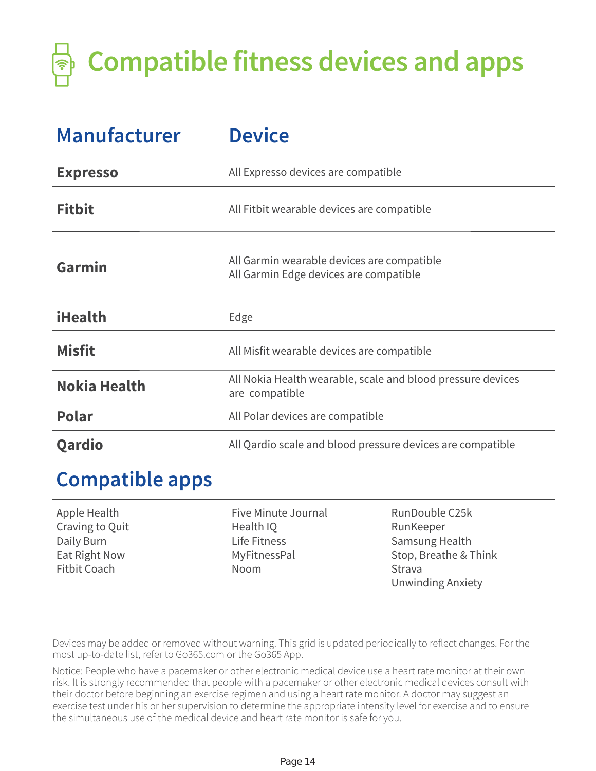## **Compatible fitness devices and apps** じゅう しょうかい こうしゃ

| <b>Manufacturer</b> | <b>Device</b>                                                                        |
|---------------------|--------------------------------------------------------------------------------------|
| <b>Expresso</b>     | All Expresso devices are compatible                                                  |
| <b>Fitbit</b>       | All Fitbit wearable devices are compatible                                           |
| Garmin              | All Garmin wearable devices are compatible<br>All Garmin Edge devices are compatible |
| <b>iHealth</b>      | Edge                                                                                 |
| <b>Misfit</b>       | All Misfit wearable devices are compatible                                           |
| <b>Nokia Health</b> | All Nokia Health wearable, scale and blood pressure devices<br>are compatible        |
| <b>Polar</b>        | All Polar devices are compatible                                                     |
| Qardio              | All Qardio scale and blood pressure devices are compatible                           |

#### **Compatible apps**

Apple Health Craving to Quit Daily Burn Eat Right Now Fitbit Coach Five Minute Journal Health IQ Life Fitness MyFitnessPal Noom RunDouble C25k RunKeeper Samsung Health Stop, Breathe & Think Strava Unwinding Anxiety

Devices may be added or removed without warning. This grid is updated periodically to reflect changes. For the most up-to-date list, refer to Go365.com or the Go365 App.

Notice: People who have a pacemaker or other electronic medical device use a heart rate monitor at their own risk. It is strongly recommended that people with a pacemaker or other electronic medical devices consult with their doctor before beginning an exercise regimen and using a heart rate monitor. A doctor may suggest an exercise test under his or her supervision to determine the appropriate intensity level for exercise and to ensure the simultaneous use of the medical device and heart rate monitor is safe for you.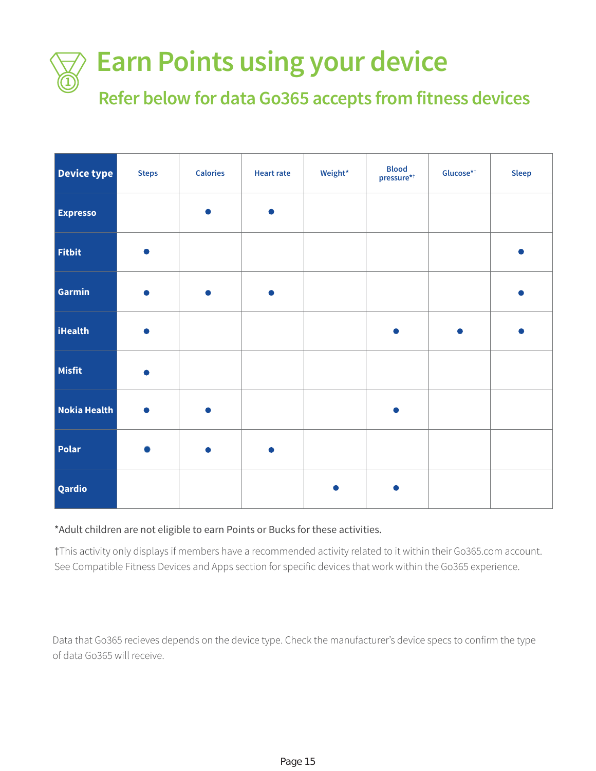#### **Earn Points using your device 1**

**Refer below for data Go365 accepts from fitness devices**

| <b>Device type</b> | <b>Steps</b> | <b>Calories</b> | <b>Heart rate</b> | Weight* | <b>Blood</b><br>pressure* <sup>†</sup> | $\mathsf{Glucose}^{\star\dagger}$ | <b>Sleep</b> |
|--------------------|--------------|-----------------|-------------------|---------|----------------------------------------|-----------------------------------|--------------|
| <b>Expresso</b>    |              |                 | $\blacksquare$    |         |                                        |                                   |              |
| Fitbit             | $\bullet$    |                 |                   |         |                                        |                                   | ●            |
| Garmin             |              |                 |                   |         |                                        |                                   |              |
| <b>iHealth</b>     |              |                 |                   |         | $\bullet$                              |                                   |              |
| Misfit             |              |                 |                   |         |                                        |                                   |              |
| Nokia Health       |              |                 |                   |         |                                        |                                   |              |
| Polar              |              |                 |                   |         |                                        |                                   |              |
| Qardio             |              |                 |                   |         |                                        |                                   |              |

#### \*Adult children are not eligible to earn Points or Bucks for these activities.

†This activity only displays if members have a recommended activity related to it within their Go365.com account. See Compatible Fitness Devices and Apps section for specific devices that work within the Go365 experience.

Data that Go365 recieves depends on the device type. Check the manufacturer's device specs to confirm the type of data Go365 will receive.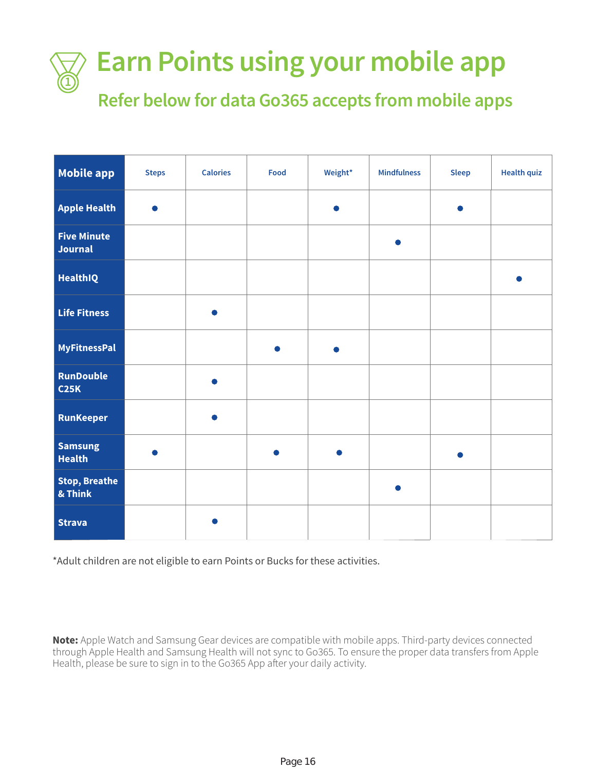#### **Earn Points using your mobile app 1**

**Refer below for data Go365 accepts from mobile apps**

| <b>Mobile app</b>                    | <b>Steps</b> | <b>Calories</b> | Food      | Weight* | <b>Mindfulness</b> | <b>Sleep</b> | <b>Health quiz</b> |
|--------------------------------------|--------------|-----------------|-----------|---------|--------------------|--------------|--------------------|
| <b>Apple Health</b>                  |              |                 |           |         |                    |              |                    |
| <b>Five Minute</b><br><b>Journal</b> |              |                 |           |         |                    |              |                    |
| <b>HealthIQ</b>                      |              |                 |           |         |                    |              |                    |
| Life Fitness                         |              | ●               |           |         |                    |              |                    |
| MyFitnessPal                         |              |                 | $\bullet$ |         |                    |              |                    |
| RunDouble<br>C25K                    |              |                 |           |         |                    |              |                    |
| RunKeeper                            |              |                 |           |         |                    |              |                    |
| <b>Samsung</b><br><b>Health</b>      |              |                 |           |         |                    |              |                    |
| <b>Stop, Breathe</b><br>& Think      |              |                 |           |         | ●                  |              |                    |
| <b>Strava</b>                        |              |                 |           |         |                    |              |                    |

\*Adult children are not eligible to earn Points or Bucks for these activities.

**Note:** Apple Watch and Samsung Gear devices are compatible with mobile apps. Third-party devices connected through Apple Health and Samsung Health will not sync to Go365. To ensure the proper data transfers from Apple Health, please be sure to sign in to the Go365 App after your daily activity.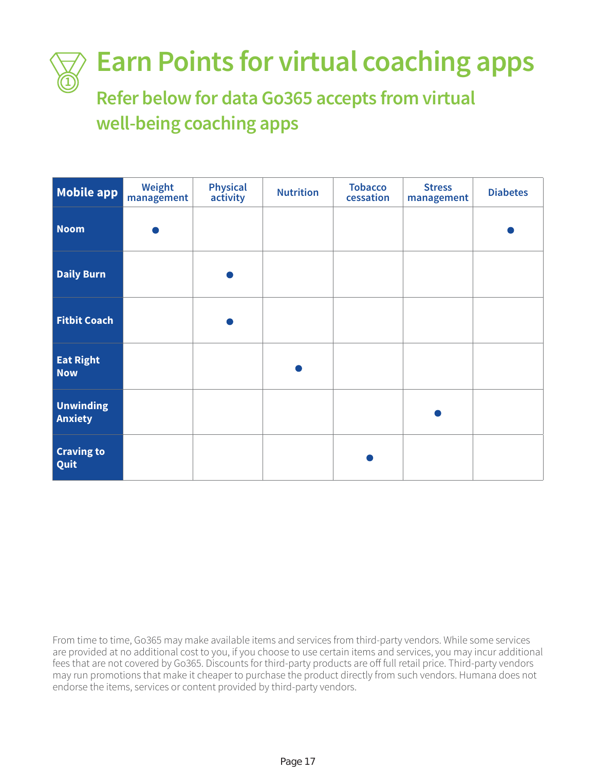#### **Earn Points for virtual coaching apps 1**

**Refer below for data Go365 accepts from virtual well-being coaching apps**

| <b>Mobile app</b>                  | Weight<br>management | <b>Physical</b><br>activity | <b>Nutrition</b> | <b>Tobacco</b><br>cessation | <b>Stress</b><br>management | <b>Diabetes</b> |
|------------------------------------|----------------------|-----------------------------|------------------|-----------------------------|-----------------------------|-----------------|
| <b>Noom</b>                        |                      |                             |                  |                             |                             |                 |
| <b>Daily Burn</b>                  |                      |                             |                  |                             |                             |                 |
| <b>Fitbit Coach</b>                |                      |                             |                  |                             |                             |                 |
| <b>Eat Right</b><br><b>Now</b>     |                      |                             |                  |                             |                             |                 |
| <b>Unwinding</b><br><b>Anxiety</b> |                      |                             |                  |                             |                             |                 |
| <b>Craving to</b><br>Quit          |                      |                             |                  |                             |                             |                 |

From time to time, Go365 may make available items and services from third-party vendors. While some services are provided at no additional cost to you, if you choose to use certain items and services, you may incur additional fees that are not covered by Go365. Discounts for third-party products are off full retail price. Third-party vendors may run promotions that make it cheaper to purchase the product directly from such vendors. Humana does not endorse the items, services or content provided by third-party vendors.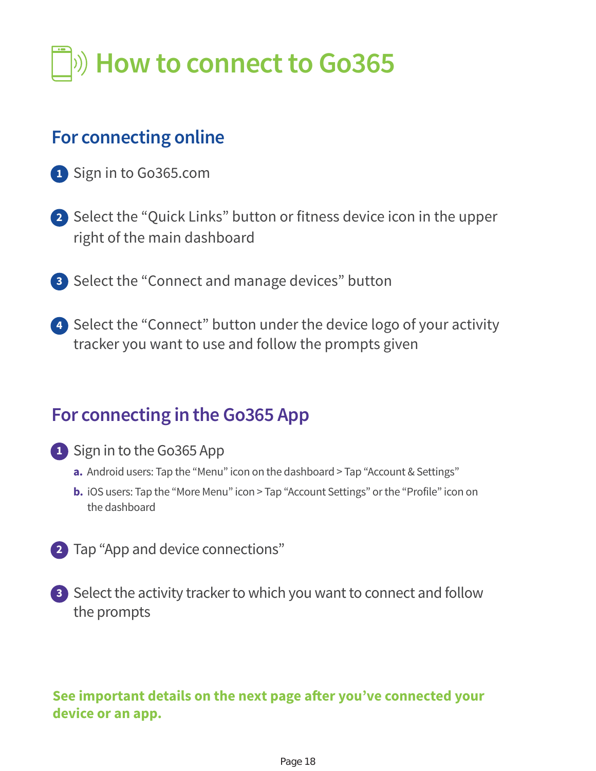

#### **For connecting online**

- Sign in to Go365.com **1**
- Select the "Quick Links" button or fitness device icon in the upper **2** right of the main dashboard
- Select the "Connect and manage devices" button **3**
- Select the "Connect" button under the device logo of your activity **4** tracker you want to use and follow the prompts given

#### **For connecting in the Go365 App**

- Sign in to the Go365 App **1**
	- **a.** Android users: Tap the "Menu" icon on the dashboard > Tap "Account & Settings"
	- **b.** iOS users: Tap the "More Menu" icon > Tap "Account Settings" or the "Profile" icon on the dashboard
- Tap "App and device connections" **2**
- **3** Select the activity tracker to which you want to connect and follow the prompts

#### **See important details on the next page after you've connected your device or an app.**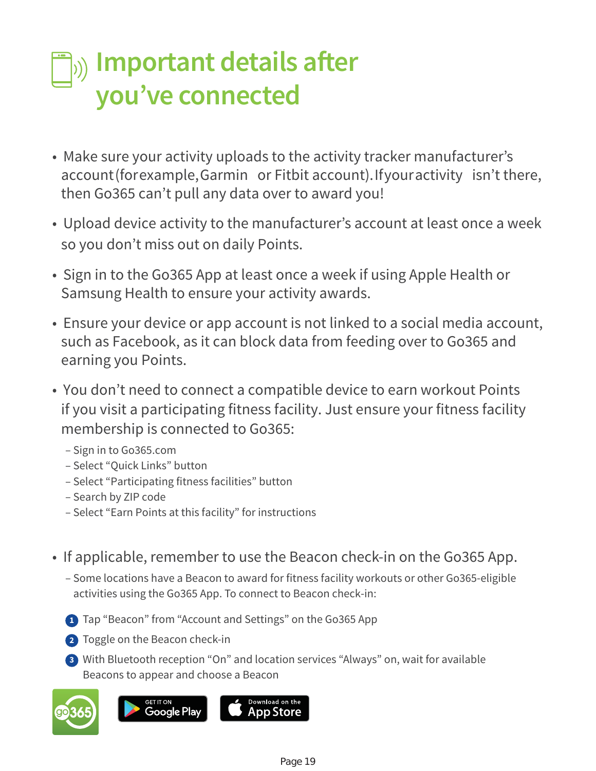## **Important details after you've connected**

- Make sure your activity uploads to the activity tracker manufacturer's account (for example, Garmin or Fitbit account). If your activity isn't there, then Go365 can't pull any data over to award you!
- Upload device activity to the manufacturer's account at least once a week so you don't miss out on daily Points.
- Sign in to the Go365 App at least once a week if using Apple Health or Samsung Health to ensure your activity awards.
- Ensure your device or app account is not linked to a social media account, such as Facebook, as it can block data from feeding over to Go365 and earning you Points.
- You don't need to connect a compatible device to earn workout Points if you visit a participating fitness facility. Just ensure your fitness facility membership is connected to Go365:
	- Sign in to Go365.com
	- Select "Quick Links" button
	- Select "Participating fitness facilities" button
	- Search by ZIP code
	- Select "Earn Points at this facility" for instructions
- If applicable, remember to use the Beacon check-in on the Go365 App.
	- Some locations have a Beacon to award for fitness facility workouts or other Go365-eligible activities using the Go365 App. To connect to Beacon check-in:
	- Tap "Beacon" from "Account and Settings" on the Go365 App **1**
	- 2 Toggle on the Beacon check-in
	- With Bluetooth reception "On" and location services "Always" on, wait for available **3** Beacons to appear and choose a Beacon

**App Store** 





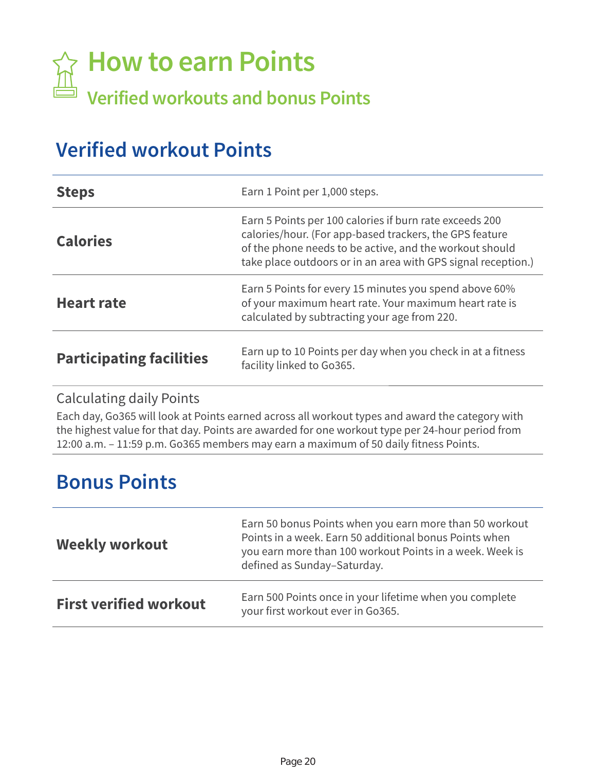

## **Verified workout Points**

| <b>Steps</b>                    | Earn 1 Point per 1,000 steps.                                                                                                                                                                                                                  |
|---------------------------------|------------------------------------------------------------------------------------------------------------------------------------------------------------------------------------------------------------------------------------------------|
| <b>Calories</b>                 | Earn 5 Points per 100 calories if burn rate exceeds 200<br>calories/hour. (For app-based trackers, the GPS feature<br>of the phone needs to be active, and the workout should<br>take place outdoors or in an area with GPS signal reception.) |
| <b>Heart rate</b>               | Earn 5 Points for every 15 minutes you spend above 60%<br>of your maximum heart rate. Your maximum heart rate is<br>calculated by subtracting your age from 220.                                                                               |
| <b>Participating facilities</b> | Earn up to 10 Points per day when you check in at a fitness<br>facility linked to Go365.                                                                                                                                                       |

#### Calculating daily Points

Each day, Go365 will look at Points earned across all workout types and award the category with the highest value for that day. Points are awarded for one workout type per 24-hour period from 12:00 a.m. – 11:59 p.m. Go365 members may earn a maximum of 50 daily fitness Points.

#### **Bonus Points**

| <b>Weekly workout</b>         | Earn 50 bonus Points when you earn more than 50 workout<br>Points in a week. Earn 50 additional bonus Points when<br>you earn more than 100 workout Points in a week. Week is<br>defined as Sunday-Saturday. |
|-------------------------------|--------------------------------------------------------------------------------------------------------------------------------------------------------------------------------------------------------------|
| <b>First verified workout</b> | Earn 500 Points once in your lifetime when you complete<br>your first workout ever in Go365.                                                                                                                 |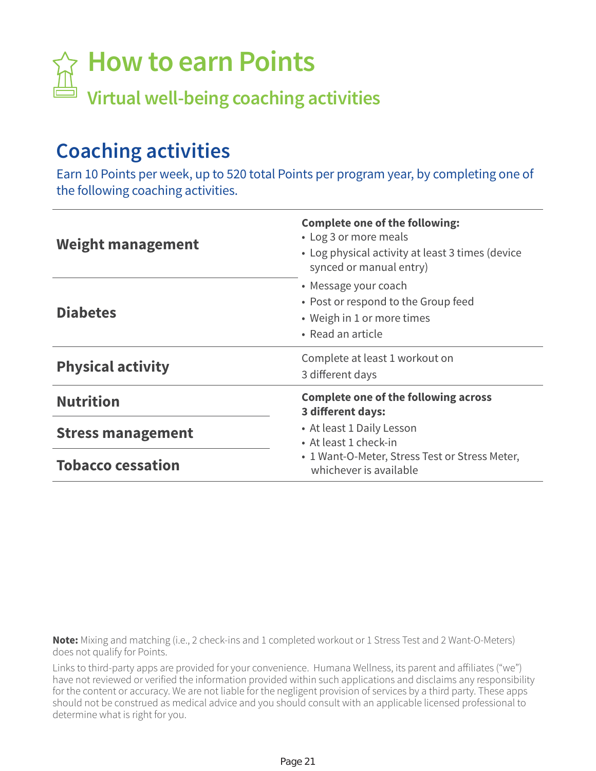

## **Coaching activities**

Earn 10 Points per week, up to 520 total Points per program year, by completing one of the following coaching activities.

| Weight management        | <b>Complete one of the following:</b><br>• Log 3 or more meals<br>• Log physical activity at least 3 times (device<br>synced or manual entry) |  |  |  |
|--------------------------|-----------------------------------------------------------------------------------------------------------------------------------------------|--|--|--|
| <b>Diabetes</b>          | • Message your coach<br>• Post or respond to the Group feed<br>• Weigh in 1 or more times<br>• Read an article                                |  |  |  |
| <b>Physical activity</b> | Complete at least 1 workout on<br>3 different days                                                                                            |  |  |  |
| <b>Nutrition</b>         | <b>Complete one of the following across</b><br>3 different days:                                                                              |  |  |  |
| <b>Stress management</b> | • At least 1 Daily Lesson<br>• At least 1 check-in                                                                                            |  |  |  |
| <b>Tobacco cessation</b> | • 1 Want-O-Meter, Stress Test or Stress Meter,<br>whichever is available                                                                      |  |  |  |

**Note:** Mixing and matching (i.e., 2 check-ins and 1 completed workout or 1 Stress Test and 2 Want-O-Meters) does not qualify for Points.

Links to third-party apps are provided for your convenience. Humana Wellness, its parent and affiliates ("we") have not reviewed or verified the information provided within such applications and disclaims any responsibility for the content or accuracy. We are not liable for the negligent provision of services by a third party. These apps should not be construed as medical advice and you should consult with an applicable licensed professional to determine what is right for you.